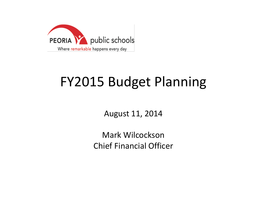

### FY2015 Budget Planning

August 11, 2014

Mark Wilcockson Chief Financial Officer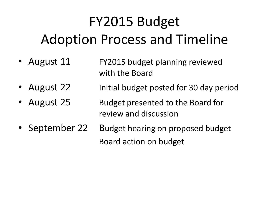## FY2015 Budget Adoption Process and Timeline

- August 11 FY2015 budget planning reviewed with the Board
- August 22 Initial budget posted for 30 day period
- August 25 Budget presented to the Board for review and discussion
- September 22 Budget hearing on proposed budget Board action on budget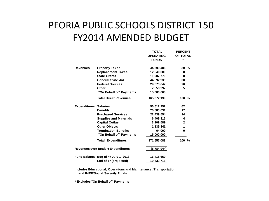#### PEORIA PUBLIC SCHOOLS DISTRICT 150 FY2014 AMENDED BUDGET

|                              |                                     | <b>TOTAL</b>     | <b>PERCENT</b> |
|------------------------------|-------------------------------------|------------------|----------------|
|                              |                                     | <b>OPERATING</b> | OF TOTAL       |
|                              |                                     | <b>FUNDS</b>     | *              |
|                              |                                     |                  |                |
| <b>Revenues</b>              | <b>Property Taxes</b>               | 44,699,486       | 30%            |
|                              | <b>Replacement Taxes</b>            | 12,540,000       | 8              |
|                              | <b>State Grants</b>                 | 11,907,770       | 8              |
|                              | <b>General State Aid</b>            | 44,592,939       | 30             |
|                              | <b>Federal Sources</b>              | 29,573,647       | 20             |
|                              | Other                               | 7,558,297        | 5              |
|                              | "On Behalf of" Payments             | 15,000,000       |                |
|                              | <b>Total Direct Revenues</b>        | 165,872,139      | 100 %          |
| <b>Expenditures Salaries</b> |                                     | 96,612,252       | 62             |
|                              | <b>Benefits</b>                     | 26,883,031       | 17             |
|                              | <b>Purchased Services</b>           | 22,439,554       | 14             |
|                              | <b>Supplies and Materials</b>       | 6,409,316        | 4              |
|                              | <b>Capital Outlay</b>               | 3,109,589        | $\mathbf{2}$   |
|                              | <b>Other Objects</b>                | 1,139,341        | 1              |
|                              | <b>Termination Benefits</b>         | 64,000           | 0              |
|                              | "On Behalf of" Payments             | 15,000,000       |                |
|                              | <b>Total Expenditures</b>           | 171,657,083      | 100 %          |
|                              | Revenues over (under) Expenditures  | (5,784,944)      |                |
|                              | Fund Balance Beg of Yr July 1, 2013 | 16,418,660       |                |
|                              | End of Yr (projected)               | 10,633,716       |                |
|                              |                                     |                  |                |

**Includes Educational, Operations and Maintenance, Transportation and IMRF/Social Security Funds**

**\* Excludes "On Behalf of" Payments**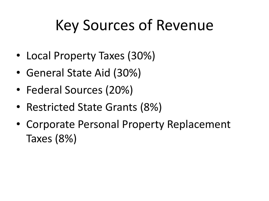# Key Sources of Revenue

- Local Property Taxes (30%)
- General State Aid (30%)
- Federal Sources (20%)
- Restricted State Grants (8%)
- Corporate Personal Property Replacement Taxes (8%)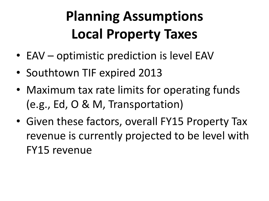## **Planning Assumptions Local Property Taxes**

- EAV optimistic prediction is level EAV
- Southtown TIF expired 2013
- Maximum tax rate limits for operating funds (e.g., Ed, O & M, Transportation)
- Given these factors, overall FY15 Property Tax revenue is currently projected to be level with FY15 revenue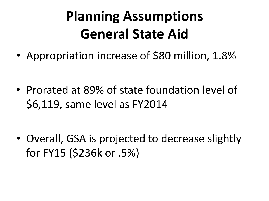### **Planning Assumptions General State Aid**

• Appropriation increase of \$80 million, 1.8%

• Prorated at 89% of state foundation level of \$6,119, same level as FY2014

• Overall, GSA is projected to decrease slightly for FY15 (\$236k or .5%)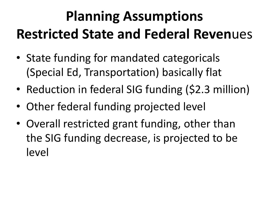## **Planning Assumptions Restricted State and Federal Reven**ues

- State funding for mandated categoricals (Special Ed, Transportation) basically flat
- Reduction in federal SIG funding (\$2.3 million)
- Other federal funding projected level
- Overall restricted grant funding, other than the SIG funding decrease, is projected to be level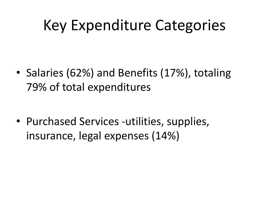### Key Expenditure Categories

• Salaries (62%) and Benefits (17%), totaling 79% of total expenditures

• Purchased Services -utilities, supplies, insurance, legal expenses (14%)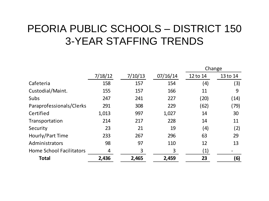### PEORIA PUBLIC SCHOOLS – DISTRICT 150 3-YEAR STAFFING TRENDS

|                                 |         |         |          | Change   |          |
|---------------------------------|---------|---------|----------|----------|----------|
|                                 | 7/18/12 | 7/10/13 | 07/16/14 | 12 to 14 | 13 to 14 |
| Cafeteria                       | 158     | 157     | 154      | (4)      | (3)      |
| Custodial/Maint.                | 155     | 157     | 166      | 11       | 9        |
| Subs                            | 247     | 241     | 227      | (20)     | (14)     |
| Paraprofessionals/Clerks        | 291     | 308     | 229      | (62)     | (79)     |
| Certified                       | 1,013   | 997     | 1,027    | 14       | 30       |
| Transportation                  | 214     | 217     | 228      | 14       | 11       |
| Security                        | 23      | 21      | 19       | (4)      | (2)      |
| Hourly/Part Time                | 233     | 267     | 296      | 63       | 29       |
| Administrators                  | 98      | 97      | 110      | 12       | 13       |
| <b>Home School Facilitators</b> | 4       | 3       | 3        | (1)      |          |
| <b>Total</b>                    | 2,436   | 2,465   | 2,459    | 23       | (6)      |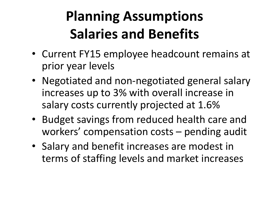## **Planning Assumptions Salaries and Benefits**

- Current FY15 employee headcount remains at prior year levels
- Negotiated and non-negotiated general salary increases up to 3% with overall increase in salary costs currently projected at 1.6%
- Budget savings from reduced health care and workers' compensation costs – pending audit
- Salary and benefit increases are modest in terms of staffing levels and market increases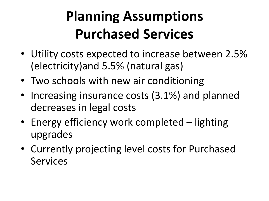## **Planning Assumptions Purchased Services**

- Utility costs expected to increase between 2.5% (electricity)and 5.5% (natural gas)
- Two schools with new air conditioning
- Increasing insurance costs (3.1%) and planned decreases in legal costs
- Energy efficiency work completed lighting upgrades
- Currently projecting level costs for Purchased Services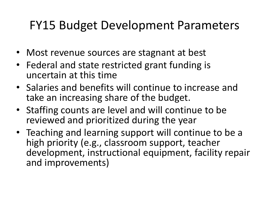### FY15 Budget Development Parameters

- Most revenue sources are stagnant at best
- Federal and state restricted grant funding is uncertain at this time
- Salaries and benefits will continue to increase and take an increasing share of the budget.
- Staffing counts are level and will continue to be reviewed and prioritized during the year
- Teaching and learning support will continue to be a high priority (e.g., classroom support, teacher development, instructional equipment, facility repair and improvements)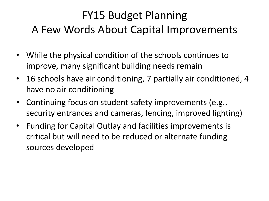### FY15 Budget Planning A Few Words About Capital Improvements

- While the physical condition of the schools continues to improve, many significant building needs remain
- 16 schools have air conditioning, 7 partially air conditioned, 4 have no air conditioning
- Continuing focus on student safety improvements (e.g., security entrances and cameras, fencing, improved lighting)
- Funding for Capital Outlay and facilities improvements is critical but will need to be reduced or alternate funding sources developed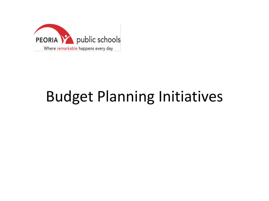

## Budget Planning Initiatives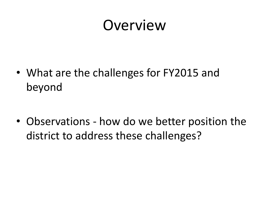### Overview

• What are the challenges for FY2015 and beyond

• Observations - how do we better position the district to address these challenges?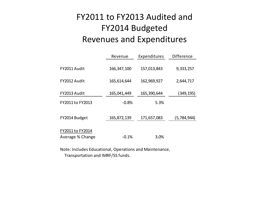#### FY2011 to FY2013 Audited and FY2014 Budgeted Revenues and Expenditures

|                  | Revenue       | Expenditures | Difference  |
|------------------|---------------|--------------|-------------|
| FY2011 Audit     | 166, 347, 100 | 157,013,843  | 9,333,257   |
| FY2012 Audit     | 165,614,644   | 162,969,927  | 2,644,717   |
| FY2013 Audit     | 165,041,449   | 165,390,644  | (349, 195)  |
| FY2011 to FY2013 | $-0.8%$       | 5.3%         |             |
| FY2014 Budget    | 165,872,139   | 171,657,083  | (5,784,944) |
| FY2011 to FY2014 | $-0.1%$       | 3.0%         |             |
| Average % Change |               |              |             |

Note: Includes Educational, Operations and Maintenance, Transportation and IMRF/SS funds.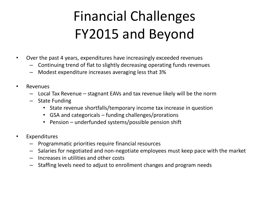## Financial Challenges FY2015 and Beyond

- Over the past 4 years, expenditures have increasingly exceeded revenues
	- Continuing trend of flat to slightly decreasing operating funds revenues
	- Modest expenditure increases averaging less that 3%
- Revenues
	- Local Tax Revenue stagnant EAVs and tax revenue likely will be the norm
	- State Funding
		- State revenue shortfalls/temporary income tax increase in question
		- GSA and categoricals funding challenges/prorations
		- Pension underfunded systems/possible pension shift
- Expenditures
	- Programmatic priorities require financial resources
	- Salaries for negotiated and non-negotiate employees must keep pace with the market
	- Increases in utilities and other costs
	- Staffing levels need to adjust to enrollment changes and program needs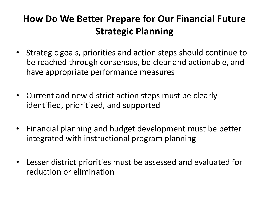### **How Do We Better Prepare for Our Financial Future Strategic Planning**

- Strategic goals, priorities and action steps should continue to be reached through consensus, be clear and actionable, and have appropriate performance measures
- Current and new district action steps must be clearly identified, prioritized, and supported
- Financial planning and budget development must be better integrated with instructional program planning
- Lesser district priorities must be assessed and evaluated for reduction or elimination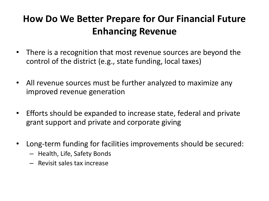### **How Do We Better Prepare for Our Financial Future Enhancing Revenue**

- There is a recognition that most revenue sources are beyond the control of the district (e.g., state funding, local taxes)
- All revenue sources must be further analyzed to maximize any improved revenue generation
- Efforts should be expanded to increase state, federal and private grant support and private and corporate giving
- Long-term funding for facilities improvements should be secured:
	- Health, Life, Safety Bonds
	- Revisit sales tax increase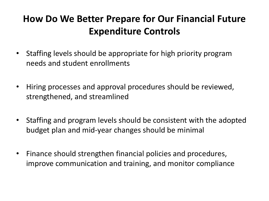### **How Do We Better Prepare for Our Financial Future Expenditure Controls**

- Staffing levels should be appropriate for high priority program needs and student enrollments
- Hiring processes and approval procedures should be reviewed, strengthened, and streamlined
- Staffing and program levels should be consistent with the adopted budget plan and mid-year changes should be minimal
- Finance should strengthen financial policies and procedures, improve communication and training, and monitor compliance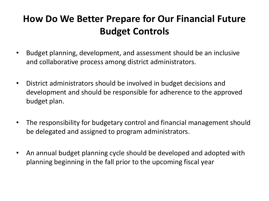### **How Do We Better Prepare for Our Financial Future Budget Controls**

- Budget planning, development, and assessment should be an inclusive and collaborative process among district administrators.
- District administrators should be involved in budget decisions and development and should be responsible for adherence to the approved budget plan.
- The responsibility for budgetary control and financial management should be delegated and assigned to program administrators.
- An annual budget planning cycle should be developed and adopted with planning beginning in the fall prior to the upcoming fiscal year